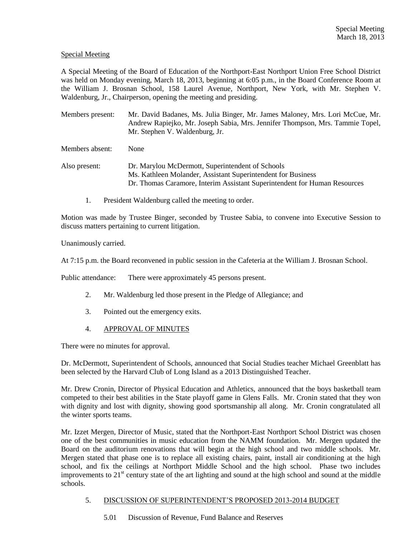# Special Meeting

A Special Meeting of the Board of Education of the Northport-East Northport Union Free School District was held on Monday evening, March 18, 2013, beginning at 6:05 p.m., in the Board Conference Room at the William J. Brosnan School, 158 Laurel Avenue, Northport, New York, with Mr. Stephen V. Waldenburg, Jr., Chairperson, opening the meeting and presiding.

Members present: Mr. David Badanes, Ms. Julia Binger, Mr. James Maloney, Mrs. Lori McCue, Mr. Andrew Rapiejko, Mr. Joseph Sabia, Mrs. Jennifer Thompson, Mrs. Tammie Topel, Mr. Stephen V. Waldenburg, Jr.

Members absent: None

Also present: Dr. Marylou McDermott, Superintendent of Schools Ms. Kathleen Molander, Assistant Superintendent for Business Dr. Thomas Caramore, Interim Assistant Superintendent for Human Resources

1. President Waldenburg called the meeting to order.

Motion was made by Trustee Binger, seconded by Trustee Sabia, to convene into Executive Session to discuss matters pertaining to current litigation.

Unanimously carried.

At 7:15 p.m. the Board reconvened in public session in the Cafeteria at the William J. Brosnan School.

Public attendance: There were approximately 45 persons present.

- 2. Mr. Waldenburg led those present in the Pledge of Allegiance; and
- 3. Pointed out the emergency exits.
- 4. APPROVAL OF MINUTES

There were no minutes for approval.

Dr. McDermott, Superintendent of Schools, announced that Social Studies teacher Michael Greenblatt has been selected by the Harvard Club of Long Island as a 2013 Distinguished Teacher.

Mr. Drew Cronin, Director of Physical Education and Athletics, announced that the boys basketball team competed to their best abilities in the State playoff game in Glens Falls. Mr. Cronin stated that they won with dignity and lost with dignity, showing good sportsmanship all along. Mr. Cronin congratulated all the winter sports teams.

Mr. Izzet Mergen, Director of Music, stated that the Northport-East Northport School District was chosen one of the best communities in music education from the NAMM foundation. Mr. Mergen updated the Board on the auditorium renovations that will begin at the high school and two middle schools. Mr. Mergen stated that phase one is to replace all existing chairs, paint, install air conditioning at the high school, and fix the ceilings at Northport Middle School and the high school. Phase two includes improvements to  $21<sup>st</sup>$  century state of the art lighting and sound at the high school and sound at the middle schools.

#### 5. DISCUSSION OF SUPERINTENDENT'S PROPOSED 2013-2014 BUDGET

5.01 Discussion of Revenue, Fund Balance and Reserves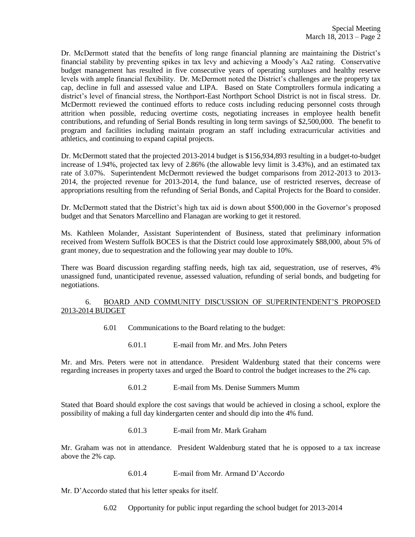Dr. McDermott stated that the benefits of long range financial planning are maintaining the District's financial stability by preventing spikes in tax levy and achieving a Moody's Aa2 rating. Conservative budget management has resulted in five consecutive years of operating surpluses and healthy reserve levels with ample financial flexibility. Dr. McDermott noted the District's challenges are the property tax cap, decline in full and assessed value and LIPA. Based on State Comptrollers formula indicating a district's level of financial stress, the Northport-East Northport School District is not in fiscal stress. Dr. McDermott reviewed the continued efforts to reduce costs including reducing personnel costs through attrition when possible, reducing overtime costs, negotiating increases in employee health benefit contributions, and refunding of Serial Bonds resulting in long term savings of \$2,500,000. The benefit to program and facilities including maintain program an staff including extracurricular activities and athletics, and continuing to expand capital projects.

Dr. McDermott stated that the projected 2013-2014 budget is \$156,934,893 resulting in a budget-to-budget increase of 1.94%, projected tax levy of 2.86% (the allowable levy limit is 3.43%), and an estimated tax rate of 3.07%. Superintendent McDermott reviewed the budget comparisons from 2012-2013 to 2013- 2014, the projected revenue for 2013-2014, the fund balance, use of restricted reserves, decrease of appropriations resulting from the refunding of Serial Bonds, and Capital Projects for the Board to consider.

Dr. McDermott stated that the District's high tax aid is down about \$500,000 in the Governor's proposed budget and that Senators Marcellino and Flanagan are working to get it restored.

Ms. Kathleen Molander, Assistant Superintendent of Business, stated that preliminary information received from Western Suffolk BOCES is that the District could lose approximately \$88,000, about 5% of grant money, due to sequestration and the following year may double to 10%.

There was Board discussion regarding staffing needs, high tax aid, sequestration, use of reserves, 4% unassigned fund, unanticipated revenue, assessed valuation, refunding of serial bonds, and budgeting for negotiations.

### 6. BOARD AND COMMUNITY DISCUSSION OF SUPERINTENDENT'S PROPOSED 2013-2014 BUDGET

- 6.01 Communications to the Board relating to the budget:
	- 6.01.1 E-mail from Mr. and Mrs. John Peters

Mr. and Mrs. Peters were not in attendance. President Waldenburg stated that their concerns were regarding increases in property taxes and urged the Board to control the budget increases to the 2% cap.

6.01.2 E-mail from Ms. Denise Summers Mumm

Stated that Board should explore the cost savings that would be achieved in closing a school, explore the possibility of making a full day kindergarten center and should dip into the 4% fund.

6.01.3 E-mail from Mr. Mark Graham

Mr. Graham was not in attendance. President Waldenburg stated that he is opposed to a tax increase above the 2% cap.

6.01.4 E-mail from Mr. Armand D'Accordo

Mr. D'Accordo stated that his letter speaks for itself.

6.02 Opportunity for public input regarding the school budget for 2013-2014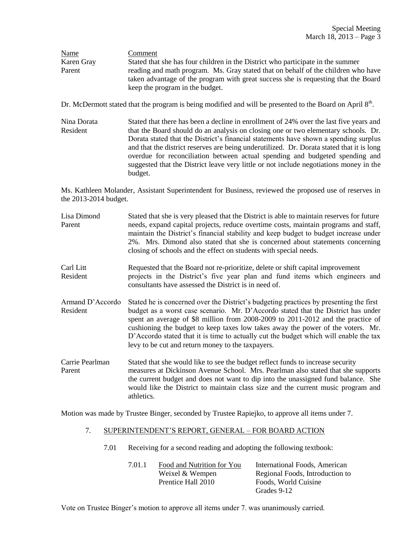| Name       | Comment                                                                                                                                                                 |  |  |
|------------|-------------------------------------------------------------------------------------------------------------------------------------------------------------------------|--|--|
| Karen Gray | Stated that she has four children in the District who participate in the summer                                                                                         |  |  |
| Parent     | reading and math program. Ms. Gray stated that on behalf of the children who have<br>taken advantage of the program with great success she is requesting that the Board |  |  |
|            |                                                                                                                                                                         |  |  |
|            | keep the program in the budget.                                                                                                                                         |  |  |

Dr. McDermott stated that the program is being modified and will be presented to the Board on April  $8<sup>th</sup>$ .

Nina Dorata Stated that there has been a decline in enrollment of 24% over the last five years and Resident that the Board should do an analysis on closing one or two elementary schools. Dr. Dorata stated that the District's financial statements have shown a spending surplus and that the district reserves are being underutilized. Dr. Dorata stated that it is long overdue for reconciliation between actual spending and budgeted spending and suggested that the District leave very little or not include negotiations money in the budget.

Ms. Kathleen Molander, Assistant Superintendent for Business, reviewed the proposed use of reserves in the 2013-2014 budget.

| Lisa Dimond<br>Parent        | Stated that she is very pleased that the District is able to maintain reserves for future<br>needs, expand capital projects, reduce overtime costs, maintain programs and staff,<br>maintain the District's financial stability and keep budget to budget increase under<br>2%. Mrs. Dimond also stated that she is concerned about statements concerning<br>closing of schools and the effect on students with special needs.                                                                  |  |
|------------------------------|-------------------------------------------------------------------------------------------------------------------------------------------------------------------------------------------------------------------------------------------------------------------------------------------------------------------------------------------------------------------------------------------------------------------------------------------------------------------------------------------------|--|
| Carl Litt<br>Resident        | Requested that the Board not re-prioritize, delete or shift capital improvement<br>projects in the District's five year plan and fund items which engineers and<br>consultants have assessed the District is in need of.                                                                                                                                                                                                                                                                        |  |
| Armand D'Accordo<br>Resident | Stated he is concerned over the District's budgeting practices by presenting the first<br>budget as a worst case scenario. Mr. D'Accordo stated that the District has under<br>spent an average of \$8 million from 2008-2009 to 2011-2012 and the practice of<br>cushioning the budget to keep taxes low takes away the power of the voters. Mr.<br>D'Accordo stated that it is time to actually cut the budget which will enable the tax<br>levy to be cut and return money to the taxpayers. |  |
| Carrie Pearlman<br>Parent    | Stated that she would like to see the budget reflect funds to increase security<br>measures at Dickinson Avenue School. Mrs. Pearlman also stated that she supports<br>the current budget and does not want to dip into the unassigned fund balance. She<br>would like the District to maintain class size and the current music program and<br>athletics.                                                                                                                                      |  |

Motion was made by Trustee Binger, seconded by Trustee Rapiejko, to approve all items under 7.

# 7. SUPERINTENDENT'S REPORT, GENERAL – FOR BOARD ACTION

7.01 Receiving for a second reading and adopting the following textbook:

| 7.01.1 | Food and Nutrition for You | International Foods, American   |
|--------|----------------------------|---------------------------------|
|        | Weixel & Wempen            | Regional Foods, Introduction to |
|        | Prentice Hall 2010         | Foods. World Cuisine            |
|        |                            | Grades 9-12                     |

Vote on Trustee Binger's motion to approve all items under 7. was unanimously carried.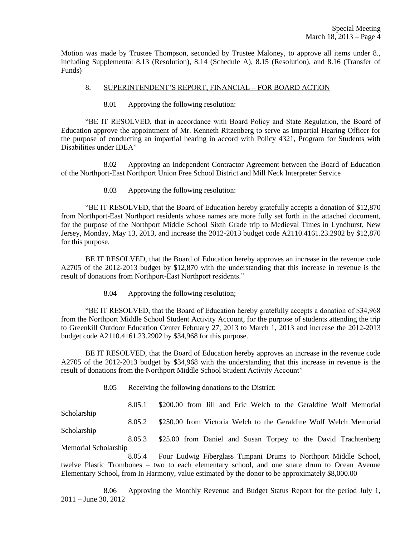Motion was made by Trustee Thompson, seconded by Trustee Maloney, to approve all items under 8., including Supplemental 8.13 (Resolution), 8.14 (Schedule A), 8.15 (Resolution), and 8.16 (Transfer of Funds)

# 8. SUPERINTENDENT'S REPORT, FINANCIAL – FOR BOARD ACTION

8.01 Approving the following resolution:

"BE IT RESOLVED, that in accordance with Board Policy and State Regulation, the Board of Education approve the appointment of Mr. Kenneth Ritzenberg to serve as Impartial Hearing Officer for the purpose of conducting an impartial hearing in accord with Policy 4321, Program for Students with Disabilities under IDEA"

8.02 Approving an Independent Contractor Agreement between the Board of Education of the Northport-East Northport Union Free School District and Mill Neck Interpreter Service

8.03 Approving the following resolution:

"BE IT RESOLVED, that the Board of Education hereby gratefully accepts a donation of \$12,870 from Northport-East Northport residents whose names are more fully set forth in the attached document, for the purpose of the Northport Middle School Sixth Grade trip to Medieval Times in Lyndhurst, New Jersey, Monday, May 13, 2013, and increase the 2012-2013 budget code A2110.4161.23.2902 by \$12,870 for this purpose.

BE IT RESOLVED, that the Board of Education hereby approves an increase in the revenue code A2705 of the 2012-2013 budget by \$12,870 with the understanding that this increase in revenue is the result of donations from Northport-East Northport residents."

8.04 Approving the following resolution;

Scholarship

"BE IT RESOLVED, that the Board of Education hereby gratefully accepts a donation of \$34,968 from the Northport Middle School Student Activity Account, for the purpose of students attending the trip to Greenkill Outdoor Education Center February 27, 2013 to March 1, 2013 and increase the 2012-2013 budget code A2110.4161.23.2902 by \$34,968 for this purpose.

BE IT RESOLVED, that the Board of Education hereby approves an increase in the revenue code A2705 of the 2012-2013 budget by \$34,968 with the understanding that this increase in revenue is the result of donations from the Northport Middle School Student Activity Account"

8.05 Receiving the following donations to the District:

8.05.1 \$200.00 from Jill and Eric Welch to the Geraldine Wolf Memorial

8.05.2 \$250.00 from Victoria Welch to the Geraldine Wolf Welch Memorial

Scholarship 8.05.3 \$25.00 from Daniel and Susan Torpey to the David Trachtenberg Memorial Scholarship

8.05.4 Four Ludwig Fiberglass Timpani Drums to Northport Middle School, twelve Plastic Trombones – two to each elementary school, and one snare drum to Ocean Avenue Elementary School, from In Harmony, value estimated by the donor to be approximately \$8,000.00

8.06 Approving the Monthly Revenue and Budget Status Report for the period July 1, 2011 – June 30, 2012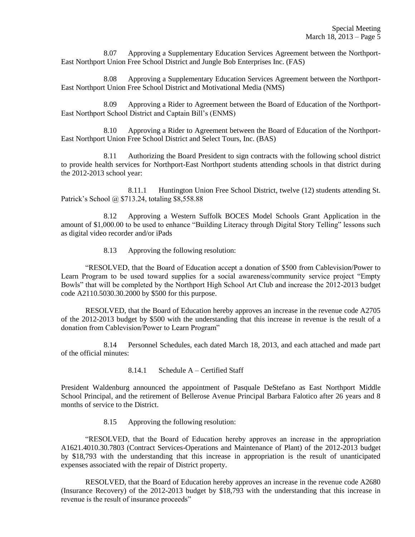8.07 Approving a Supplementary Education Services Agreement between the Northport-East Northport Union Free School District and Jungle Bob Enterprises Inc. (FAS)

8.08 Approving a Supplementary Education Services Agreement between the Northport-East Northport Union Free School District and Motivational Media (NMS)

8.09 Approving a Rider to Agreement between the Board of Education of the Northport-East Northport School District and Captain Bill's (ENMS)

8.10 Approving a Rider to Agreement between the Board of Education of the Northport-East Northport Union Free School District and Select Tours, Inc. (BAS)

8.11 Authorizing the Board President to sign contracts with the following school district to provide health services for Northport-East Northport students attending schools in that district during the 2012-2013 school year:

8.11.1 Huntington Union Free School District, twelve (12) students attending St. Patrick's School @ \$713.24, totaling \$8,558.88

8.12 Approving a Western Suffolk BOCES Model Schools Grant Application in the amount of \$1,000.00 to be used to enhance "Building Literacy through Digital Story Telling" lessons such as digital video recorder and/or iPads

8.13 Approving the following resolution:

"RESOLVED, that the Board of Education accept a donation of \$500 from Cablevision/Power to Learn Program to be used toward supplies for a social awareness/community service project "Empty Bowls" that will be completed by the Northport High School Art Club and increase the 2012-2013 budget code A2110.5030.30.2000 by \$500 for this purpose.

RESOLVED, that the Board of Education hereby approves an increase in the revenue code A2705 of the 2012-2013 budget by \$500 with the understanding that this increase in revenue is the result of a donation from Cablevision/Power to Learn Program"

8.14 Personnel Schedules, each dated March 18, 2013, and each attached and made part of the official minutes:

8.14.1 Schedule A – Certified Staff

President Waldenburg announced the appointment of Pasquale DeStefano as East Northport Middle School Principal, and the retirement of Bellerose Avenue Principal Barbara Falotico after 26 years and 8 months of service to the District.

8.15 Approving the following resolution:

"RESOLVED, that the Board of Education hereby approves an increase in the appropriation A1621.4010.30.7803 (Contract Services-Operations and Maintenance of Plant) of the 2012-2013 budget by \$18,793 with the understanding that this increase in appropriation is the result of unanticipated expenses associated with the repair of District property.

RESOLVED, that the Board of Education hereby approves an increase in the revenue code A2680 (Insurance Recovery) of the 2012-2013 budget by \$18,793 with the understanding that this increase in revenue is the result of insurance proceeds"